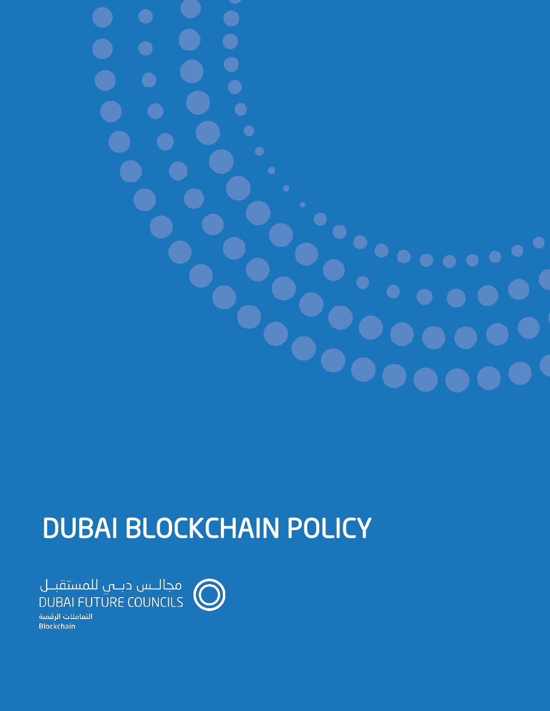$\bullet$ 

# DUBAI BLOCKCHAIN POLICY

مجالــس دبـــي للمستقبــل<br>DUBAI FUTURE COUNCILS  $\mathbb C$ 

التعاملات الرقمية **Blockchain**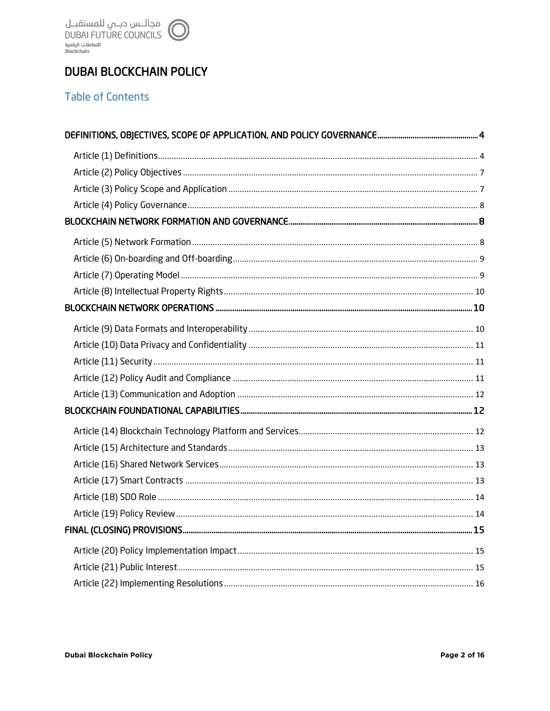# **DUBAI BLOCKCHAIN POLICY**

## **Table of Contents**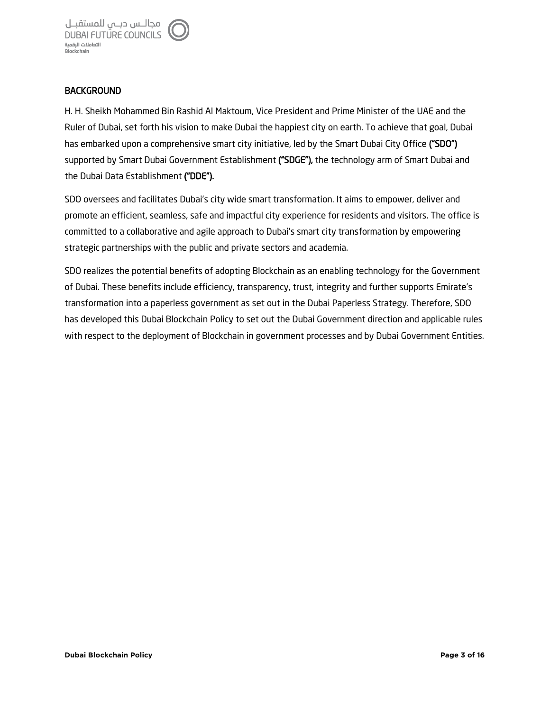

#### **BACKGROUND**

H. H. Sheikh Mohammed Bin Rashid Al Maktoum, Vice President and Prime Minister of the UAE and the Ruler of Dubai, set forth his vision to make Dubai the happiest city on earth. To achieve that goal, Dubai has embarked upon a comprehensive smart city initiative, led by the Smart Dubai City Office ("SDO") supported by Smart Dubai Government Establishment ("SDGE"), the technology arm of Smart Dubai and the Dubai Data Establishment ("DDE").

SDO oversees and facilitates Dubai's city wide smart transformation. It aims to empower, deliver and promote an efficient, seamless, safe and impactful city experience for residents and visitors. The office is committed to a collaborative and agile approach to Dubai's smart city transformation by empowering strategic partnerships with the public and private sectors and academia.

SDO realizes the potential benefits of adopting Blockchain as an enabling technology for the Government of Dubai. These benefits include efficiency, transparency, trust, integrity and further supports Emirate's transformation into a paperless government as set out in the Dubai Paperless Strategy. Therefore, SDO has developed this Dubai Blockchain Policy to set out the Dubai Government direction and applicable rules with respect to the deployment of Blockchain in government processes and by Dubai Government Entities.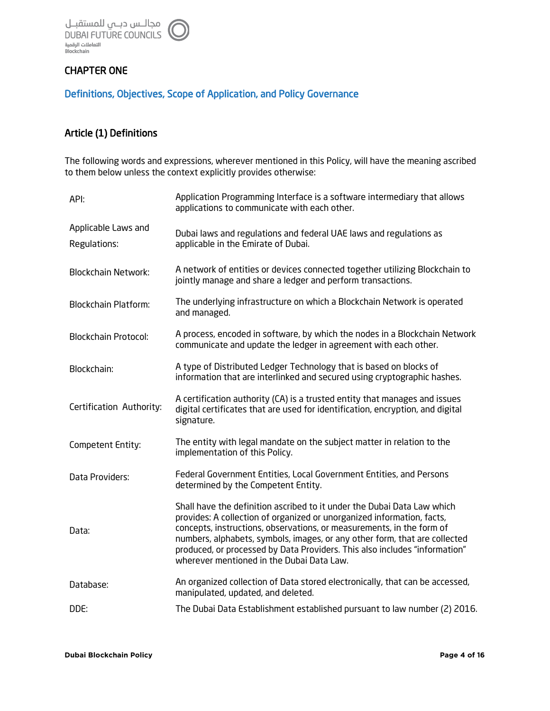

## CHAPTER ONE

### Definitions, Objectives, Scope of Application, and Policy Governance

## Article (1) Definitions

The following words and expressions, wherever mentioned in this Policy, will have the meaning ascribed to them below unless the context explicitly provides otherwise:

| API:                                | Application Programming Interface is a software intermediary that allows<br>applications to communicate with each other.                                                                                                                                                                                                                                                                                                            |
|-------------------------------------|-------------------------------------------------------------------------------------------------------------------------------------------------------------------------------------------------------------------------------------------------------------------------------------------------------------------------------------------------------------------------------------------------------------------------------------|
| Applicable Laws and<br>Regulations: | Dubai laws and regulations and federal UAE laws and regulations as<br>applicable in the Emirate of Dubai.                                                                                                                                                                                                                                                                                                                           |
| <b>Blockchain Network:</b>          | A network of entities or devices connected together utilizing Blockchain to<br>jointly manage and share a ledger and perform transactions.                                                                                                                                                                                                                                                                                          |
| <b>Blockchain Platform:</b>         | The underlying infrastructure on which a Blockchain Network is operated<br>and managed.                                                                                                                                                                                                                                                                                                                                             |
| <b>Blockchain Protocol:</b>         | A process, encoded in software, by which the nodes in a Blockchain Network<br>communicate and update the ledger in agreement with each other.                                                                                                                                                                                                                                                                                       |
| Blockchain:                         | A type of Distributed Ledger Technology that is based on blocks of<br>information that are interlinked and secured using cryptographic hashes.                                                                                                                                                                                                                                                                                      |
| Certification Authority:            | A certification authority (CA) is a trusted entity that manages and issues<br>digital certificates that are used for identification, encryption, and digital<br>signature.                                                                                                                                                                                                                                                          |
| Competent Entity:                   | The entity with legal mandate on the subject matter in relation to the<br>implementation of this Policy.                                                                                                                                                                                                                                                                                                                            |
| Data Providers:                     | Federal Government Entities, Local Government Entities, and Persons<br>determined by the Competent Entity.                                                                                                                                                                                                                                                                                                                          |
| Data:                               | Shall have the definition ascribed to it under the Dubai Data Law which<br>provides: A collection of organized or unorganized information, facts,<br>concepts, instructions, observations, or measurements, in the form of<br>numbers, alphabets, symbols, images, or any other form, that are collected<br>produced, or processed by Data Providers. This also includes "information"<br>wherever mentioned in the Dubai Data Law. |
| Database:                           | An organized collection of Data stored electronically, that can be accessed,<br>manipulated, updated, and deleted.                                                                                                                                                                                                                                                                                                                  |
| DDE:                                | The Dubai Data Establishment established pursuant to law number (2) 2016.                                                                                                                                                                                                                                                                                                                                                           |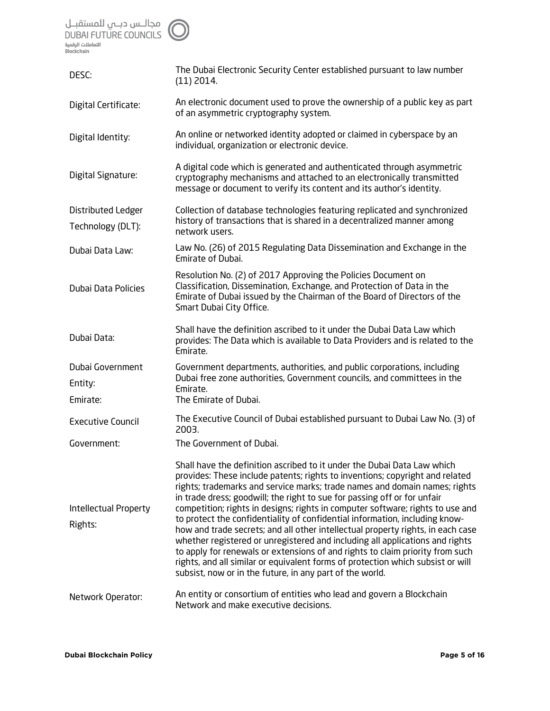مجالـــس دبـــمي للمستقبــل<br>DUBAI FUTURE COUNCILS<br>التقاملات الرقمية<br>Blockchain

| DESC:                                   | The Dubai Electronic Security Center established pursuant to law number<br>$(11)$ 2014.                                                                                                                                                                                                                                                                                                                                                                                                                                                                                                                                                                                                                                                                                                                                                                                               |
|-----------------------------------------|---------------------------------------------------------------------------------------------------------------------------------------------------------------------------------------------------------------------------------------------------------------------------------------------------------------------------------------------------------------------------------------------------------------------------------------------------------------------------------------------------------------------------------------------------------------------------------------------------------------------------------------------------------------------------------------------------------------------------------------------------------------------------------------------------------------------------------------------------------------------------------------|
| Digital Certificate:                    | An electronic document used to prove the ownership of a public key as part<br>of an asymmetric cryptography system.                                                                                                                                                                                                                                                                                                                                                                                                                                                                                                                                                                                                                                                                                                                                                                   |
| Digital Identity:                       | An online or networked identity adopted or claimed in cyberspace by an<br>individual, organization or electronic device.                                                                                                                                                                                                                                                                                                                                                                                                                                                                                                                                                                                                                                                                                                                                                              |
| Digital Signature:                      | A digital code which is generated and authenticated through asymmetric<br>cryptography mechanisms and attached to an electronically transmitted<br>message or document to verify its content and its author's identity.                                                                                                                                                                                                                                                                                                                                                                                                                                                                                                                                                                                                                                                               |
| Distributed Ledger<br>Technology (DLT): | Collection of database technologies featuring replicated and synchronized<br>history of transactions that is shared in a decentralized manner among<br>network users.                                                                                                                                                                                                                                                                                                                                                                                                                                                                                                                                                                                                                                                                                                                 |
| Dubai Data Law:                         | Law No. (26) of 2015 Regulating Data Dissemination and Exchange in the<br>Emirate of Dubai.                                                                                                                                                                                                                                                                                                                                                                                                                                                                                                                                                                                                                                                                                                                                                                                           |
| Dubai Data Policies                     | Resolution No. (2) of 2017 Approving the Policies Document on<br>Classification, Dissemination, Exchange, and Protection of Data in the<br>Emirate of Dubai issued by the Chairman of the Board of Directors of the<br>Smart Dubai City Office.                                                                                                                                                                                                                                                                                                                                                                                                                                                                                                                                                                                                                                       |
| Dubai Data:                             | Shall have the definition ascribed to it under the Dubai Data Law which<br>provides: The Data which is available to Data Providers and is related to the<br>Emirate.                                                                                                                                                                                                                                                                                                                                                                                                                                                                                                                                                                                                                                                                                                                  |
| Dubai Government<br>Entity:<br>Emirate: | Government departments, authorities, and public corporations, including<br>Dubai free zone authorities, Government councils, and committees in the<br>Emirate.<br>The Emirate of Dubai.                                                                                                                                                                                                                                                                                                                                                                                                                                                                                                                                                                                                                                                                                               |
| <b>Executive Council</b>                | The Executive Council of Dubai established pursuant to Dubai Law No. (3) of<br>2003.                                                                                                                                                                                                                                                                                                                                                                                                                                                                                                                                                                                                                                                                                                                                                                                                  |
| Government:                             | The Government of Dubai.                                                                                                                                                                                                                                                                                                                                                                                                                                                                                                                                                                                                                                                                                                                                                                                                                                                              |
| Intellectual Property<br>Rights:        | Shall have the definition ascribed to it under the Dubai Data Law which<br>provides: These include patents; rights to inventions; copyright and related<br>rights; trademarks and service marks; trade names and domain names; rights<br>in trade dress; goodwill; the right to sue for passing off or for unfair<br>competition; rights in designs; rights in computer software; rights to use and<br>to protect the confidentiality of confidential information, including know-<br>how and trade secrets; and all other intellectual property rights, in each case<br>whether registered or unregistered and including all applications and rights<br>to apply for renewals or extensions of and rights to claim priority from such<br>rights, and all similar or equivalent forms of protection which subsist or will<br>subsist, now or in the future, in any part of the world. |
| Network Operator:                       | An entity or consortium of entities who lead and govern a Blockchain<br>Network and make executive decisions.                                                                                                                                                                                                                                                                                                                                                                                                                                                                                                                                                                                                                                                                                                                                                                         |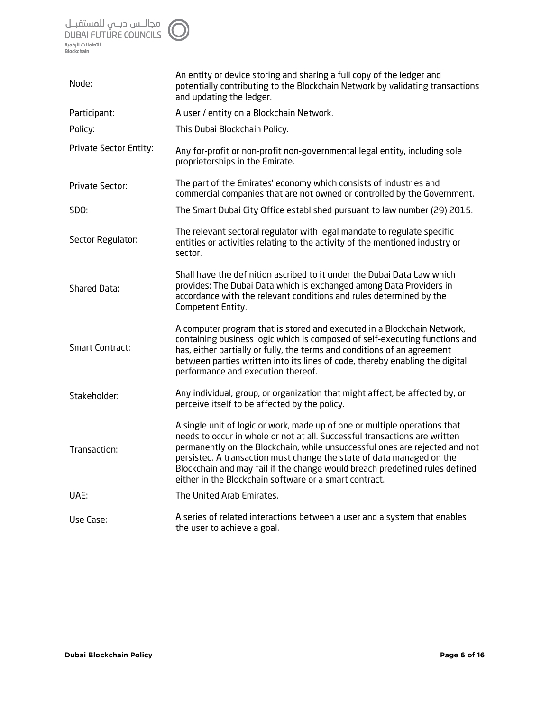

| Node:                  | An entity or device storing and sharing a full copy of the ledger and<br>potentially contributing to the Blockchain Network by validating transactions<br>and updating the ledger.                                                                                                                                                                                                                                                                        |
|------------------------|-----------------------------------------------------------------------------------------------------------------------------------------------------------------------------------------------------------------------------------------------------------------------------------------------------------------------------------------------------------------------------------------------------------------------------------------------------------|
| Participant:           | A user / entity on a Blockchain Network.                                                                                                                                                                                                                                                                                                                                                                                                                  |
| Policy:                | This Dubai Blockchain Policy.                                                                                                                                                                                                                                                                                                                                                                                                                             |
| Private Sector Entity: | Any for-profit or non-profit non-governmental legal entity, including sole<br>proprietorships in the Emirate.                                                                                                                                                                                                                                                                                                                                             |
| Private Sector:        | The part of the Emirates' economy which consists of industries and<br>commercial companies that are not owned or controlled by the Government.                                                                                                                                                                                                                                                                                                            |
| SDO:                   | The Smart Dubai City Office established pursuant to law number (29) 2015.                                                                                                                                                                                                                                                                                                                                                                                 |
| Sector Regulator:      | The relevant sectoral regulator with legal mandate to regulate specific<br>entities or activities relating to the activity of the mentioned industry or<br>sector.                                                                                                                                                                                                                                                                                        |
| Shared Data:           | Shall have the definition ascribed to it under the Dubai Data Law which<br>provides: The Dubai Data which is exchanged among Data Providers in<br>accordance with the relevant conditions and rules determined by the<br>Competent Entity.                                                                                                                                                                                                                |
| <b>Smart Contract:</b> | A computer program that is stored and executed in a Blockchain Network,<br>containing business logic which is composed of self-executing functions and<br>has, either partially or fully, the terms and conditions of an agreement<br>between parties written into its lines of code, thereby enabling the digital<br>performance and execution thereof.                                                                                                  |
| Stakeholder:           | Any individual, group, or organization that might affect, be affected by, or<br>perceive itself to be affected by the policy.                                                                                                                                                                                                                                                                                                                             |
| Transaction:           | A single unit of logic or work, made up of one or multiple operations that<br>needs to occur in whole or not at all. Successful transactions are written<br>permanently on the Blockchain, while unsuccessful ones are rejected and not<br>persisted. A transaction must change the state of data managed on the<br>Blockchain and may fail if the change would breach predefined rules defined<br>either in the Blockchain software or a smart contract. |
| UAE:                   | The United Arab Emirates.                                                                                                                                                                                                                                                                                                                                                                                                                                 |
| Use Case:              | A series of related interactions between a user and a system that enables<br>the user to achieve a goal.                                                                                                                                                                                                                                                                                                                                                  |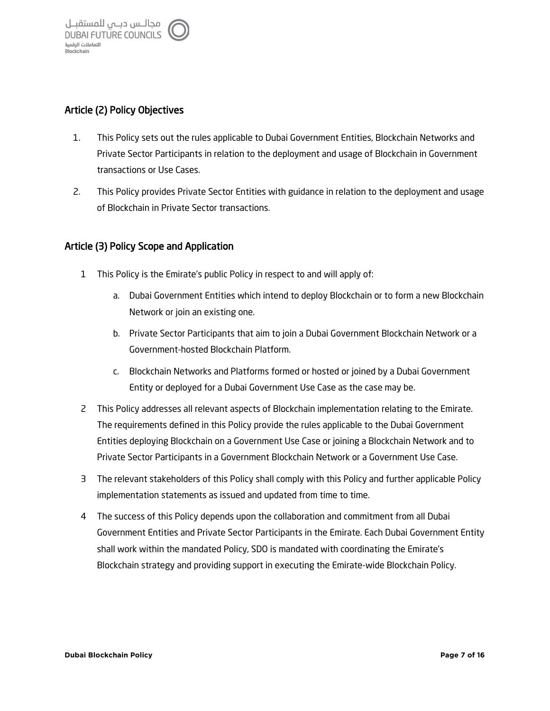## Article (2) Policy Objectives

- 1. This Policy sets out the rules applicable to Dubai Government Entities, Blockchain Networks and Private Sector Participants in relation to the deployment and usage of Blockchain in Government transactions or Use Cases.
- 2. This Policy provides Private Sector Entities with guidance in relation to the deployment and usage of Blockchain in Private Sector transactions.

#### Article (3) Policy Scope and Application

- 1 This Policy is the Emirate's public Policy in respect to and will apply of:
	- a. Dubai Government Entities which intend to deploy Blockchain or to form a new Blockchain Network or join an existing one.
	- b. Private Sector Participants that aim to join a Dubai Government Blockchain Network or a Government-hosted Blockchain Platform.
	- c. Blockchain Networks and Platforms formed or hosted or joined by a Dubai Government Entity or deployed for a Dubai Government Use Case as the case may be.
- 2 This Policy addresses all relevant aspects of Blockchain implementation relating to the Emirate. The requirements defined in this Policy provide the rules applicable to the Dubai Government Entities deploying Blockchain on a Government Use Case or joining a Blockchain Network and to Private Sector Participants in a Government Blockchain Network or a Government Use Case.
- 3 The relevant stakeholders of this Policy shall comply with this Policy and further applicable Policy implementation statements as issued and updated from time to time.
- 4 The success of this Policy depends upon the collaboration and commitment from all Dubai Government Entities and Private Sector Participants in the Emirate. Each Dubai Government Entity shall work within the mandated Policy, SDO is mandated with coordinating the Emirate's Blockchain strategy and providing support in executing the Emirate-wide Blockchain Policy.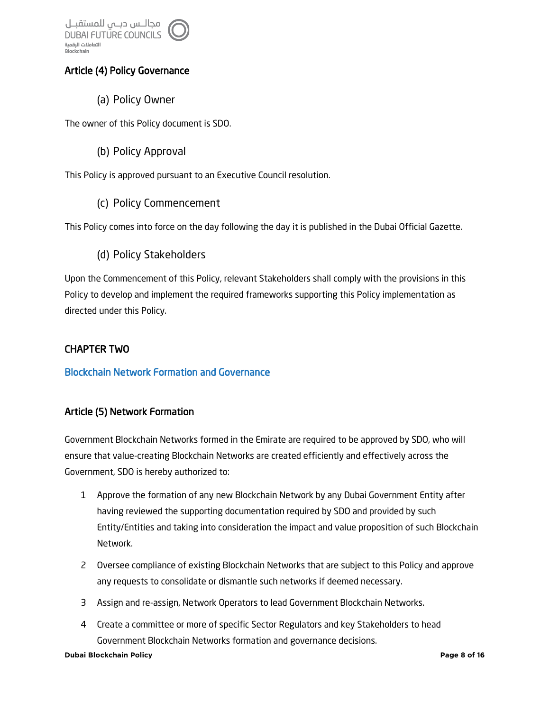

## Article (4) Policy Governance

(a) Policy Owner

The owner of this Policy document is SDO.

(b) Policy Approval

This Policy is approved pursuant to an Executive Council resolution.

(c) Policy Commencement

This Policy comes into force on the day following the day it is published in the Dubai Official Gazette.

(d) Policy Stakeholders

Upon the Commencement of this Policy, relevant Stakeholders shall comply with the provisions in this Policy to develop and implement the required frameworks supporting this Policy implementation as directed under this Policy.

## CHAPTER TWO

#### Blockchain Network Formation and Governance

## Article (5) Network Formation

Government Blockchain Networks formed in the Emirate are required to be approved by SDO, who will ensure that value-creating Blockchain Networks are created efficiently and effectively across the Government, SDO is hereby authorized to:

- 1 Approve the formation of any new Blockchain Network by any Dubai Government Entity after having reviewed the supporting documentation required by SDO and provided by such Entity/Entities and taking into consideration the impact and value proposition of such Blockchain Network.
- 2 Oversee compliance of existing Blockchain Networks that are subject to this Policy and approve any requests to consolidate or dismantle such networks if deemed necessary.
- 3 Assign and re-assign, Network Operators to lead Government Blockchain Networks.
- 4 Create a committee or more of specific Sector Regulators and key Stakeholders to head Government Blockchain Networks formation and governance decisions.

#### **Dubai Blockchain Policy Page 8 of 16**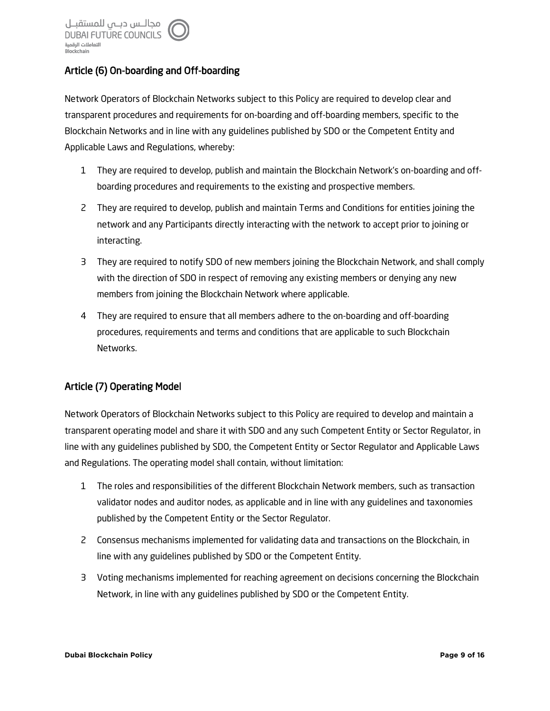## Article (6) On-boarding and Off-boarding

Network Operators of Blockchain Networks subject to this Policy are required to develop clear and transparent procedures and requirements for on-boarding and off-boarding members, specific to the Blockchain Networks and in line with any guidelines published by SDO or the Competent Entity and Applicable Laws and Regulations, whereby:

- 1 They are required to develop, publish and maintain the Blockchain Network's on-boarding and offboarding procedures and requirements to the existing and prospective members.
- 2 They are required to develop, publish and maintain Terms and Conditions for entities joining the network and any Participants directly interacting with the network to accept prior to joining or interacting.
- 3 They are required to notify SDO of new members joining the Blockchain Network, and shall comply with the direction of SDO in respect of removing any existing members or denying any new members from joining the Blockchain Network where applicable.
- 4 They are required to ensure that all members adhere to the on-boarding and off-boarding procedures, requirements and terms and conditions that are applicable to such Blockchain Networks.

## Article (7) Operating Model

Network Operators of Blockchain Networks subject to this Policy are required to develop and maintain a transparent operating model and share it with SDO and any such Competent Entity or Sector Regulator, in line with any guidelines published by SDO, the Competent Entity or Sector Regulator and Applicable Laws and Regulations. The operating model shall contain, without limitation:

- 1 The roles and responsibilities of the different Blockchain Network members, such as transaction validator nodes and auditor nodes, as applicable and in line with any guidelines and taxonomies published by the Competent Entity or the Sector Regulator.
- 2 Consensus mechanisms implemented for validating data and transactions on the Blockchain, in line with any guidelines published by SDO or the Competent Entity.
- 3 Voting mechanisms implemented for reaching agreement on decisions concerning the Blockchain Network, in line with any guidelines published by SDO or the Competent Entity.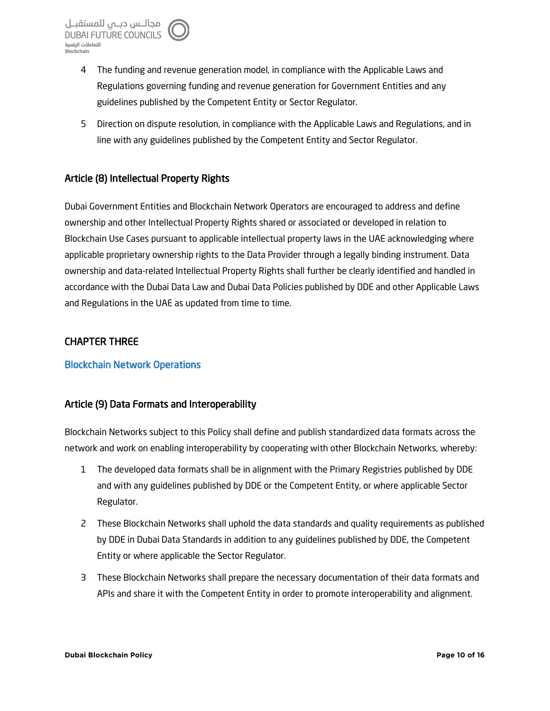- 4 The funding and revenue generation model, in compliance with the Applicable Laws and Regulations governing funding and revenue generation for Government Entities and any guidelines published by the Competent Entity or Sector Regulator.
- 5 Direction on dispute resolution, in compliance with the Applicable Laws and Regulations, and in line with any guidelines published by the Competent Entity and Sector Regulator.

## Article (8) Intellectual Property Rights

Dubai Government Entities and Blockchain Network Operators are encouraged to address and define ownership and other Intellectual Property Rights shared or associated or developed in relation to Blockchain Use Cases pursuant to applicable intellectual property laws in the UAE acknowledging where applicable proprietary ownership rights to the Data Provider through a legally binding instrument. Data ownership and data-related Intellectual Property Rights shall further be clearly identified and handled in accordance with the Dubai Data Law and Dubai Data Policies published by DDE and other Applicable Laws and Regulations in the UAE as updated from time to time.

## CHAPTER THREE

#### Blockchain Network Operations

## Article (9) Data Formats and Interoperability

Blockchain Networks subject to this Policy shall define and publish standardized data formats across the network and work on enabling interoperability by cooperating with other Blockchain Networks, whereby:

- 1 The developed data formats shall be in alignment with the Primary Registries published by DDE and with any guidelines published by DDE or the Competent Entity, or where applicable Sector Regulator.
- 2 These Blockchain Networks shall uphold the data standards and quality requirements as published by DDE in Dubai Data Standards in addition to any guidelines published by DDE, the Competent Entity or where applicable the Sector Regulator.
- 3 These Blockchain Networks shall prepare the necessary documentation of their data formats and APIs and share it with the Competent Entity in order to promote interoperability and alignment.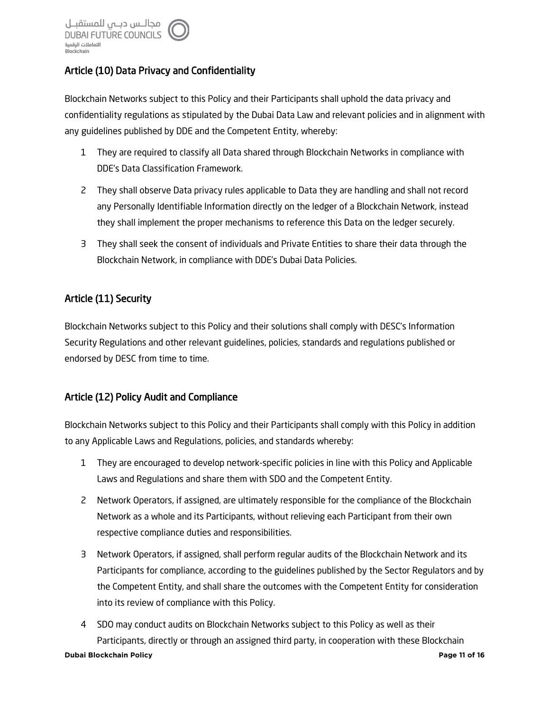## Article (10) Data Privacy and Confidentiality

Blockchain Networks subject to this Policy and their Participants shall uphold the data privacy and confidentiality regulations as stipulated by the Dubai Data Law and relevant policies and in alignment with any guidelines published by DDE and the Competent Entity, whereby:

- 1 They are required to classify all Data shared through Blockchain Networks in compliance with DDE's Data Classification Framework.
- 2 They shall observe Data privacy rules applicable to Data they are handling and shall not record any Personally Identifiable Information directly on the ledger of a Blockchain Network, instead they shall implement the proper mechanisms to reference this Data on the ledger securely.
- 3 They shall seek the consent of individuals and Private Entities to share their data through the Blockchain Network, in compliance with DDE's Dubai Data Policies.

## Article (11) Security

Blockchain Networks subject to this Policy and their solutions shall comply with DESC's Information Security Regulations and other relevant guidelines, policies, standards and regulations published or endorsed by DESC from time to time.

## Article (12) Policy Audit and Compliance

Blockchain Networks subject to this Policy and their Participants shall comply with this Policy in addition to any Applicable Laws and Regulations, policies, and standards whereby:

- 1 They are encouraged to develop network-specific policies in line with this Policy and Applicable Laws and Regulations and share them with SDO and the Competent Entity.
- 2 Network Operators, if assigned, are ultimately responsible for the compliance of the Blockchain Network as a whole and its Participants, without relieving each Participant from their own respective compliance duties and responsibilities.
- 3 Network Operators, if assigned, shall perform regular audits of the Blockchain Network and its Participants for compliance, according to the guidelines published by the Sector Regulators and by the Competent Entity, and shall share the outcomes with the Competent Entity for consideration into its review of compliance with this Policy.
- **Dubai Blockchain Policy Page 11 of 16** 4 SDO may conduct audits on Blockchain Networks subject to this Policy as well as their Participants, directly or through an assigned third party, in cooperation with these Blockchain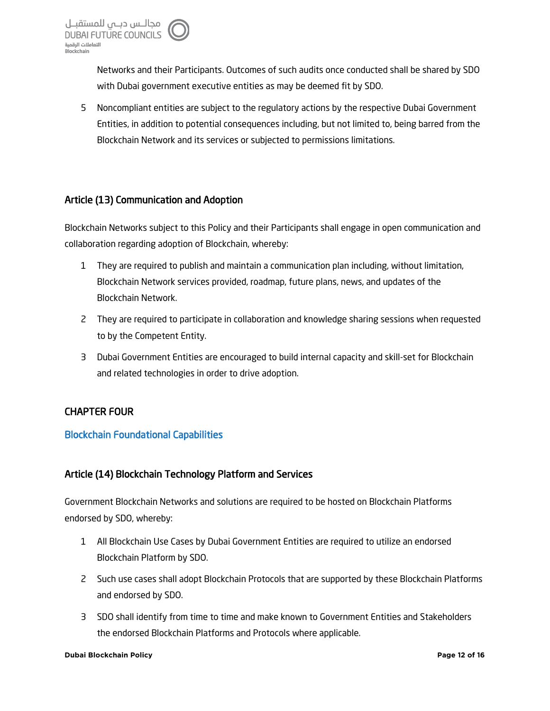Networks and their Participants. Outcomes of such audits once conducted shall be shared by SDO with Dubai government executive entities as may be deemed fit by SDO.

5 Noncompliant entities are subject to the regulatory actions by the respective Dubai Government Entities, in addition to potential consequences including, but not limited to, being barred from the Blockchain Network and its services or subjected to permissions limitations.

## Article (13) Communication and Adoption

Blockchain Networks subject to this Policy and their Participants shall engage in open communication and collaboration regarding adoption of Blockchain, whereby:

- 1 They are required to publish and maintain a communication plan including, without limitation, Blockchain Network services provided, roadmap, future plans, news, and updates of the Blockchain Network.
- 2 They are required to participate in collaboration and knowledge sharing sessions when requested to by the Competent Entity.
- 3 Dubai Government Entities are encouraged to build internal capacity and skill-set for Blockchain and related technologies in order to drive adoption.

## CHAPTER FOUR

#### Blockchain Foundational Capabilities

## Article (14) Blockchain Technology Platform and Services

Government Blockchain Networks and solutions are required to be hosted on Blockchain Platforms endorsed by SDO, whereby:

- 1 All Blockchain Use Cases by Dubai Government Entities are required to utilize an endorsed Blockchain Platform by SDO.
- 2 Such use cases shall adopt Blockchain Protocols that are supported by these Blockchain Platforms and endorsed by SDO.
- 3 SDO shall identify from time to time and make known to Government Entities and Stakeholders the endorsed Blockchain Platforms and Protocols where applicable.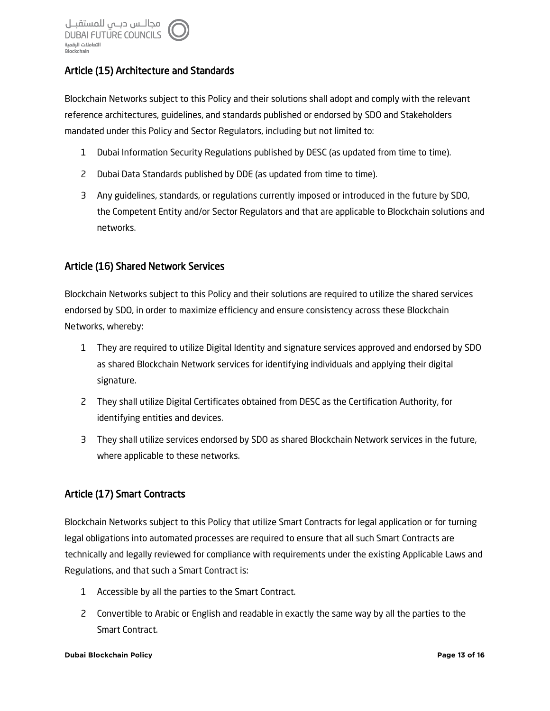## Article (15) Architecture and Standards

Blockchain Networks subject to this Policy and their solutions shall adopt and comply with the relevant reference architectures, guidelines, and standards published or endorsed by SDO and Stakeholders mandated under this Policy and Sector Regulators, including but not limited to:

- 1 Dubai Information Security Regulations published by DESC (as updated from time to time).
- 2 Dubai Data Standards published by DDE (as updated from time to time).
- 3 Any guidelines, standards, or regulations currently imposed or introduced in the future by SDO, the Competent Entity and/or Sector Regulators and that are applicable to Blockchain solutions and networks.

## Article (16) Shared Network Services

Blockchain Networks subject to this Policy and their solutions are required to utilize the shared services endorsed by SDO, in order to maximize efficiency and ensure consistency across these Blockchain Networks, whereby:

- 1 They are required to utilize Digital Identity and signature services approved and endorsed by SDO as shared Blockchain Network services for identifying individuals and applying their digital signature.
- 2 They shall utilize Digital Certificates obtained from DESC as the Certification Authority, for identifying entities and devices.
- 3 They shall utilize services endorsed by SDO as shared Blockchain Network services in the future, where applicable to these networks.

## Article (17) Smart Contracts

Blockchain Networks subject to this Policy that utilize Smart Contracts for legal application or for turning legal obligations into automated processes are required to ensure that all such Smart Contracts are technically and legally reviewed for compliance with requirements under the existing Applicable Laws and Regulations, and that such a Smart Contract is:

- 1 Accessible by all the parties to the Smart Contract.
- 2 Convertible to Arabic or English and readable in exactly the same way by all the parties to the Smart Contract.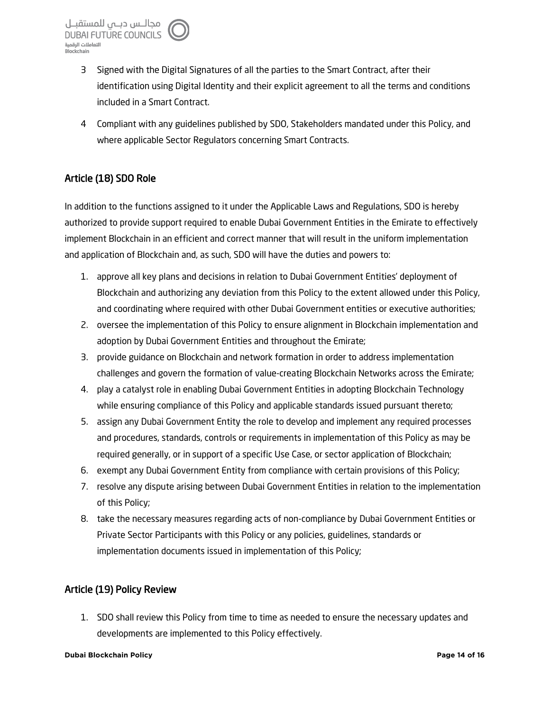- 3 Signed with the Digital Signatures of all the parties to the Smart Contract, after their identification using Digital Identity and their explicit agreement to all the terms and conditions included in a Smart Contract.
- 4 Compliant with any guidelines published by SDO, Stakeholders mandated under this Policy, and where applicable Sector Regulators concerning Smart Contracts.

## Article (18) SDO Role

In addition to the functions assigned to it under the Applicable Laws and Regulations, SDO is hereby authorized to provide support required to enable Dubai Government Entities in the Emirate to effectively implement Blockchain in an efficient and correct manner that will result in the uniform implementation and application of Blockchain and, as such, SDO will have the duties and powers to:

- 1. approve all key plans and decisions in relation to Dubai Government Entities' deployment of Blockchain and authorizing any deviation from this Policy to the extent allowed under this Policy, and coordinating where required with other Dubai Government entities or executive authorities;
- 2. oversee the implementation of this Policy to ensure alignment in Blockchain implementation and adoption by Dubai Government Entities and throughout the Emirate;
- 3. provide guidance on Blockchain and network formation in order to address implementation challenges and govern the formation of value-creating Blockchain Networks across the Emirate;
- 4. play a catalyst role in enabling Dubai Government Entities in adopting Blockchain Technology while ensuring compliance of this Policy and applicable standards issued pursuant thereto;
- 5. assign any Dubai Government Entity the role to develop and implement any required processes and procedures, standards, controls or requirements in implementation of this Policy as may be required generally, or in support of a specific Use Case, or sector application of Blockchain;
- 6. exempt any Dubai Government Entity from compliance with certain provisions of this Policy;
- 7. resolve any dispute arising between Dubai Government Entities in relation to the implementation of this Policy;
- 8. take the necessary measures regarding acts of non-compliance by Dubai Government Entities or Private Sector Participants with this Policy or any policies, guidelines, standards or implementation documents issued in implementation of this Policy;

## Article (19) Policy Review

1. SDO shall review this Policy from time to time as needed to ensure the necessary updates and developments are implemented to this Policy effectively.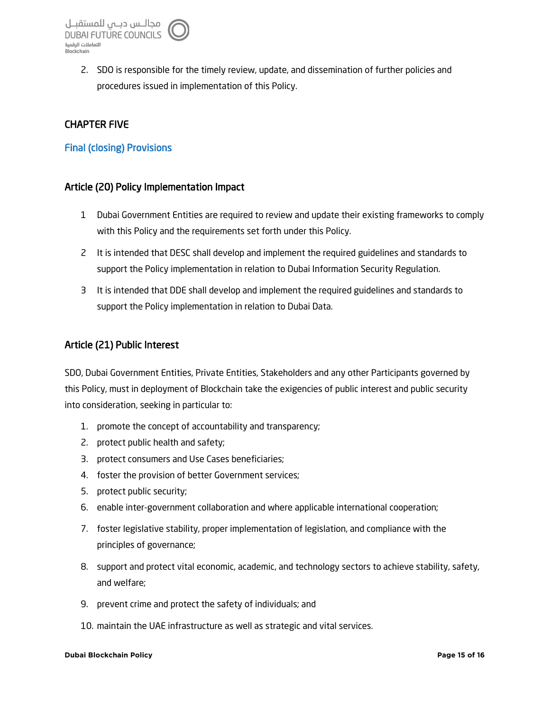2. SDO is responsible for the timely review, update, and dissemination of further policies and procedures issued in implementation of this Policy.

## CHAPTER FIVE

### Final (closing) Provisions

#### Article (20) Policy Implementation Impact

- 1 Dubai Government Entities are required to review and update their existing frameworks to comply with this Policy and the requirements set forth under this Policy.
- 2 It is intended that DESC shall develop and implement the required guidelines and standards to support the Policy implementation in relation to Dubai Information Security Regulation.
- 3 It is intended that DDE shall develop and implement the required guidelines and standards to support the Policy implementation in relation to Dubai Data.

#### Article (21) Public Interest

SDO, Dubai Government Entities, Private Entities, Stakeholders and any other Participants governed by this Policy, must in deployment of Blockchain take the exigencies of public interest and public security into consideration, seeking in particular to:

- 1. promote the concept of accountability and transparency;
- 2. protect public health and safety;
- 3. protect consumers and Use Cases beneficiaries;
- 4. foster the provision of better Government services;
- 5. protect public security;
- 6. enable inter-government collaboration and where applicable international cooperation;
- 7. foster legislative stability, proper implementation of legislation, and compliance with the principles of governance;
- 8. support and protect vital economic, academic, and technology sectors to achieve stability, safety, and welfare;
- 9. prevent crime and protect the safety of individuals; and
- 10. maintain the UAE infrastructure as well as strategic and vital services.